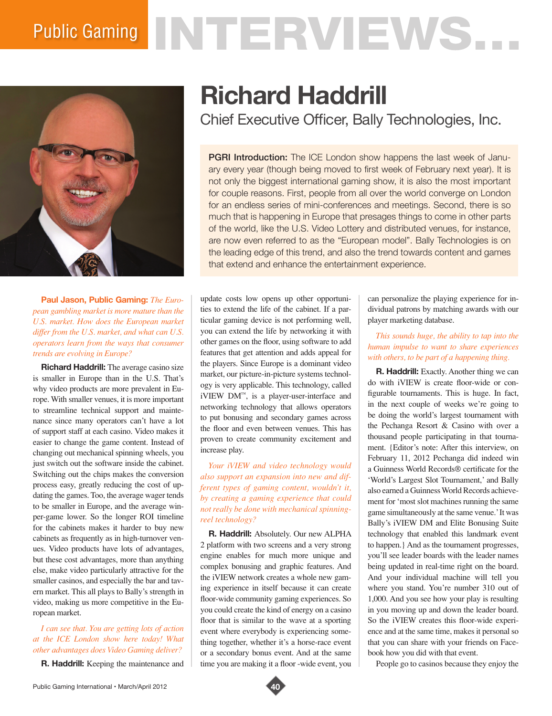# Public Gaming NTERVIEWS.



**Paul Jason, Public Gaming:** *The European gambling market is more mature than the U.S. market. How does the European market differ from the U.S. market, and what can U.S. operators learn from the ways that consumer trends are evolving in Europe?*

**Richard Haddrill:** The average casino size is smaller in Europe than in the U.S. That's why video products are more prevalent in Europe. With smaller venues, it is more important to streamline technical support and maintenance since many operators can't have a lot of support staff at each casino. Video makes it easier to change the game content. Instead of changing out mechanical spinning wheels, you just switch out the software inside the cabinet. Switching out the chips makes the conversion process easy, greatly reducing the cost of updating the games. Too, the average wager tends to be smaller in Europe, and the average winper-game lower. So the longer ROI timeline for the cabinets makes it harder to buy new cabinets as frequently as in high-turnover venues. Video products have lots of advantages, but these cost advantages, more than anything else, make video particularly attractive for the smaller casinos, and especially the bar and tavern market. This all plays to Bally's strength in video, making us more competitive in the European market.

### *I can see that. You are getting lots of action at the ICE London show here today! What other advantages does Video Gaming deliver?*

**R. Haddrill:** Keeping the maintenance and

## **Richard Haddrill**

Chief Executive Officer, Bally Technologies, Inc.

**PGRI Introduction:** The ICE London show happens the last week of January every year (though being moved to first week of February next year). It is not only the biggest international gaming show, it is also the most important for couple reasons. First, people from all over the world converge on London for an endless series of mini-conferences and meetings. Second, there is so much that is happening in Europe that presages things to come in other parts of the world, like the U.S. Video Lottery and distributed venues, for instance, are now even referred to as the "European model". Bally Technologies is on the leading edge of this trend, and also the trend towards content and games that extend and enhance the entertainment experience.

update costs low opens up other opportunities to extend the life of the cabinet. If a particular gaming device is not performing well, you can extend the life by networking it with other games on the floor, using software to add features that get attention and adds appeal for the players. Since Europe is a dominant video market, our picture-in-picture systems technology is very applicable. This technology, called iVIEW DM™, is a player-user-interface and networking technology that allows operators to put bonusing and secondary games across the floor and even between venues. This has proven to create community excitement and increase play.

*Your iVIEW and video technology would also support an expansion into new and different types of gaming content, wouldn't it, by creating a gaming experience that could not really be done with mechanical spinningreel technology?*

**R. Haddrill:** Absolutely. Our new ALPHA 2 platform with two screens and a very strong engine enables for much more unique and complex bonusing and graphic features. And the iVIEW network creates a whole new gaming experience in itself because it can create floor-wide community gaming experiences. So you could create the kind of energy on a casino floor that is similar to the wave at a sporting event where everybody is experiencing something together, whether it's a horse-race event or a secondary bonus event. And at the same time you are making it a floor -wide event, you

can personalize the playing experience for individual patrons by matching awards with our player marketing database.

### *This sounds huge, the ability to tap into the human impulse to want to share experiences with others, to be part of a happening thing.*

**R. Haddrill:** Exactly. Another thing we can do with iVIEW is create floor-wide or configurable tournaments. This is huge. In fact, in the next couple of weeks we're going to be doing the world's largest tournament with the Pechanga Resort & Casino with over a thousand people participating in that tournament. {Editor's note: After this interview, on February 11, 2012 Pechanga did indeed win a Guinness World Records® certificate for the 'World's Largest Slot Tournament,' and Bally also earned a Guinness World Records achievement for 'most slot machines running the same game simultaneously at the same venue.' It was Bally's iVIEW DM and Elite Bonusing Suite technology that enabled this landmark event to happen.} And as the tournament progresses, you'll see leader boards with the leader names being updated in real-time right on the board. And your individual machine will tell you where you stand. You're number 310 out of 1,000. And you see how your play is resulting in you moving up and down the leader board. So the iVIEW creates this floor-wide experience and at the same time, makes it personal so that you can share with your friends on Facebook how you did with that event.

People go to casinos because they enjoy the

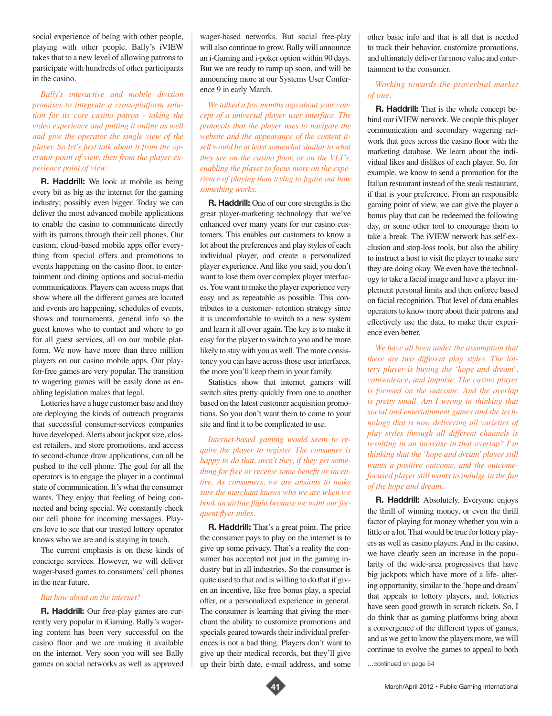social experience of being with other people, playing with other people. Bally's iVIEW takes that to a new level of allowing patrons to participate with hundreds of other participants in the casino.

*Bally's interactive and mobile division promises to integrate a cross-platform solution for its core casino patron - taking the video experience and putting it online as well and give the operator the single view of the player. So let's first talk about it from the operator point of view, then from the player experience point of view.*

**R. Haddrill:** We look at mobile as being every bit as big as the internet for the gaming industry; possibly even bigger. Today we can deliver the most advanced mobile applications to enable the casino to communicate directly with its patrons through their cell phones. Our custom, cloud-based mobile apps offer everything from special offers and promotions to events happening on the casino floor, to entertainment and dining options and social-media communications. Players can access maps that show where all the different games are located and events are happening, schedules of events, shows and tournaments, general info so the guest knows who to contact and where to go for all guest services, all on our mobile platform. We now have more than three million players on our casino mobile apps. Our playfor-free games are very popular. The transition to wagering games will be easily done as enabling legislation makes that legal.

Lotteries have a huge customer base and they are deploying the kinds of outreach programs that successful consumer-services companies have developed. Alerts about jackpot size, closest retailers, and store promotions, and access to second-chance draw applications, can all be pushed to the cell phone. The goal for all the operators is to engage the player in a continual state of communication. It's what the consumer wants. They enjoy that feeling of being connected and being special. We constantly check our cell phone for incoming messages. Players love to see that our trusted lottery operator knows who we are and is staying in touch.

The current emphasis is on these kinds of concierge services. However, we will deliver wager-based games to consumers' cell phones in the near future.

#### *But how about on the internet?*

**R. Haddrill:** Our free-play games are currently very popular in iGaming. Bally's wagering content has been very successful on the casino floor and we are making it available on the internet. Very soon you will see Bally games on social networks as well as approved

wager-based networks. But social free-play will also continue to grow. Bally will announce an i-Gaming and i-poker option within 90 days. But we are ready to ramp up soon, and will be announcing more at our Systems User Conference 9 in early March.

*We talked a few months ago about your concept of a universal player user interface. The protocols that the player uses to navigate the website and the appearance of the content itself would be at least somewhat similar to what they see on the casino floor, or on the VLT's, enabling the player to focus more on the experience of playing than trying to figure out how something works.*

**R. Haddrill:** One of our core strengths is the great player-marketing technology that we've enhanced over many years for our casino customers. This enables our customers to know a lot about the preferences and play styles of each individual player, and create a personalized player experience. And like you said, you don't want to lose them over complex player interfaces. You want to make the player experience very easy and as repeatable as possible. This contributes to a customer- retention strategy since it is uncomfortable to switch to a new system and learn it all over again. The key is to make it easy for the player to switch to you and be more likely to stay with you as well. The more consistency you can have across those user interfaces, the more you'll keep them in your family.

Statistics show that internet gamers will switch sites pretty quickly from one to another based on the latest customer acquisition promotions. So you don't want them to come to your site and find it to be complicated to use.

*Internet-based gaming would seem to require the player to register. The consumer is happy to do that, aren't they, if they get something for free or receive some benefit or incentive. As consumers, we are anxious to make sure the merchant knows who we are when we book an airline flight because we want our frequent flyer miles.* 

**R. Haddrill:** That's a great point. The price the consumer pays to play on the internet is to give up some privacy. That's a reality the consumer has accepted not just in the gaming industry but in all industries. So the consumer is quite used to that and is willing to do that if given an incentive, like free bonus play, a special offer, or a personalized experience in general. The consumer is learning that giving the merchant the ability to customize promotions and specials geared towards their individual preferences is not a bad thing. Players don't want to give up their medical records, but they'll give up their birth date, e-mail address, and some

other basic info and that is all that is needed to track their behavior, customize promotions, and ultimately deliver far more value and entertainment to the consumer.

*Working towards the proverbial market of one.* 

**R. Haddrill:** That is the whole concept behind our iVIEW network. We couple this player communication and secondary wagering network that goes across the casino floor with the marketing database. We learn about the individual likes and dislikes of each player. So, for example, we know to send a promotion for the Italian restaurant instead of the steak restaurant, if that is your preference. From an responsible gaming point of view, we can give the player a bonus play that can be redeemed the following day, or some other tool to encourage them to take a break. The iVIEW network has self-exclusion and stop-loss tools, but also the ability to instruct a host to visit the player to make sure they are doing okay. We even have the technology to take a facial image and have a player implement personal limits and then enforce based on facial recognition. That level of data enables operators to know more about their patrons and effectively use the data, to make their experience even better.

*We have all been under the assumption that there are two different play styles. The lottery player is buying the 'hope and dream', convenience, and impulse. The casino player is focused on the outcome. And the overlap is pretty small. Am I wrong in thinking that social and entertainment games and the technology that is now delivering all varieties of play styles through all different channels is resulting in an increase in that overlap? I'm thinking that the 'hope and dream' player still wants a positive outcome, and the outcomefocused player still wants to indulge in the fun of the hope and dream.*

**R. Haddrill:** Absolutely. Everyone enjoys the thrill of winning money, or even the thrill factor of playing for money whether you win a little or a lot. That would be true for lottery players as well as casino players. And in the casino, we have clearly seen an increase in the popularity of the wide-area progressives that have big jackpots which have more of a life- altering opportunity, similar to the 'hope and dream' that appeals to lottery players, and, lotteries have seen good growth in scratch tickets. So, I do think that as gaming platforms bring about a convergence of the different types of games, and as we get to know the players more, we will continue to evolve the games to appeal to both

…continued on page 54